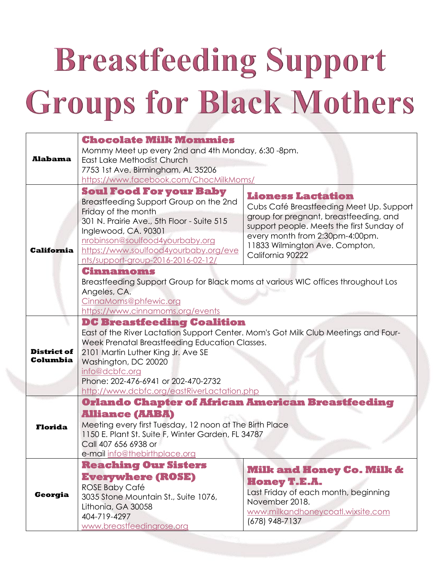## **Breastfeeding Support Groups for Black Mothers**

| <b>Alabama</b>                 | <b>Chocolate Milk Mommies</b><br>Mommy Meet up every 2nd and 4th Monday, 6:30 -8pm.<br>East Lake Methodist Church<br>7753 1st Ave. Birmingham, AL 35206<br>https://www.facebook.com/ChocMilkMoms/                                                                                                                                               |                                                                                                                                                                                                                                                      |  |
|--------------------------------|-------------------------------------------------------------------------------------------------------------------------------------------------------------------------------------------------------------------------------------------------------------------------------------------------------------------------------------------------|------------------------------------------------------------------------------------------------------------------------------------------------------------------------------------------------------------------------------------------------------|--|
| <b>California</b>              | <b>Soul Food For your Baby</b><br>Breastfeeding Support Group on the 2nd<br>Friday of the month<br>301 N. Prairie Ave., 5th Floor - Suite 515<br>Inglewood, CA. 90301<br>nrobinson@soulfood4yourbaby.org<br>https://www.soulfood4yourbaby.org/eve<br>nts/support-group-2016-2016-02-12/                                                         | <b>Lioness Lactation</b><br>Cubs Café Breastfeeding Meet Up. Support<br>group for pregnant, breastfeeding, and<br>support people. Meets the first Sunday of<br>every month from 2:30pm-4:00pm.<br>11833 Wilmington Ave. Compton,<br>California 90222 |  |
|                                | Cinnamoms<br>Angeles, CA.<br>CinnaMoms@phfewic.org<br>https://www.cinnamoms.org/events                                                                                                                                                                                                                                                          | Breastfeeding Support Group for Black moms at various WIC offices throughout Los                                                                                                                                                                     |  |
| <b>District of</b><br>Columbia | <b>DC Breastfeeding Coalition</b><br>East of the River Lactation Support Center. Mom's Got Milk Club Meetings and Four-<br>Week Prenatal Breastfeeding Education Classes.<br>2101 Martin Luther King Jr. Ave SE<br>Washington, DC 20020<br>info@dcbfc.org<br>Phone: 202-476-6941 or 202-470-2732<br>http://www.dcbfc.org/eastRiverLactation.php |                                                                                                                                                                                                                                                      |  |
| <b>Florida</b>                 | <b>Orlando Chapter of African American Breastfeeding</b><br><b>Alliance (AABA)</b><br>Meeting every first Tuesday, 12 noon at The Birth Place<br>1150 E. Plant St. Suite F, Winter Garden, FL 34787<br>Call 407 656 6938 or<br>e-mail info@thebirthplace.org                                                                                    |                                                                                                                                                                                                                                                      |  |
| Georgia                        | <b>Reaching Our Sisters</b><br><b>Everywhere (ROSE)</b><br><b>ROSE Baby Café</b><br>3035 Stone Mountain St., Suite 1076,<br>Lithonia, GA 30058<br>404-719-4297<br>www.breastfeedingrose.org                                                                                                                                                     | <b>Milk and Honey Co. Milk &amp;</b><br><b>Honey T.E.A.</b><br>Last Friday of each month, beginning<br>November 2018.<br>www.milkandhoneycoatl.wixsite.com<br>(678) 948-7137                                                                         |  |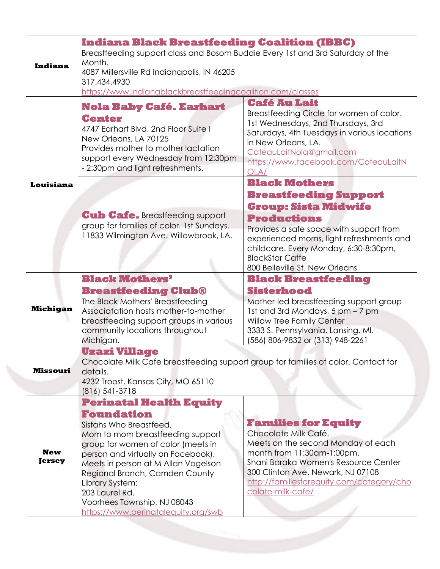| <b>Indiana</b>              | <b>Indiana Black Breastfeeding Coalition (IBBC)</b><br>Breastfeeding support class and Bosom Buddie Every 1st and 3rd Saturday of the<br>Month.<br>4087 Millersville Rd Indianapolis, IN 46205<br>317.434.4930<br>https://www.indianablackbreastfeedingcoalition.com/classes                                                                                                       |                                                                                                                                                                                                                                                                                                       |
|-----------------------------|------------------------------------------------------------------------------------------------------------------------------------------------------------------------------------------------------------------------------------------------------------------------------------------------------------------------------------------------------------------------------------|-------------------------------------------------------------------------------------------------------------------------------------------------------------------------------------------------------------------------------------------------------------------------------------------------------|
|                             | <b>Nola Baby Café. Earhart</b><br><b>Center</b><br>4747 Earhart Blvd, 2nd Floor Suite I<br>New Orleans, LA 70125<br>Provides mother to mother lactation<br>support every Wednesday from 12:30pm<br>- 2:30pm and light refreshments.                                                                                                                                                | <b>Café Au Lait</b><br>Breastfeeding Circle for women of color.<br>1st Wednesdays, 2nd Thursdays, 3rd<br>Saturdays, 4th Tuesdays in various locations<br>in New Orleans, LA.<br>CaféauLaitNola@gmail.com<br>https://www.facebook.com/CafeauLaitN<br>OLA/                                              |
| Louisiana                   | <b>Cub Cafe. Breastfeeding support</b><br>group for families of color. 1st Sundays.<br>11833 Wilmington Ave. Willowbrook, LA.                                                                                                                                                                                                                                                      | <b>Black Mothers</b><br><b>Breastfeeding Support</b><br><b>Group: Sista Midwife</b><br><b>Productions</b><br>Provides a safe space with support from<br>experienced moms, light refreshments and<br>childcare. Every Monday, 6:30-8:30pm,<br><b>BlackStar Caffe</b><br>800 Belleville St. New Orleans |
| <b>Michigan</b>             | <b>Black Mothers'</b><br><b>Breastfeeding Club®</b><br>The Black Mothers' Breastfeeding<br>Associatation hosts mother-to-mother<br>breastfeeding support groups in various<br>community locations throughout<br>Michigan.                                                                                                                                                          | <b>Black Breastfeeding</b><br><b>Sisterhood</b><br>Mother-led breastfeeding support group<br>1st and 3rd Mondays, 5 pm - 7 pm<br>Willow Tree Family Center<br>3333 S. Pennsylvania, Lansing. Ml.<br>(586) 806-9832 or (313) 948-2261                                                                  |
| Missouri                    | Uzazi Village<br>Chocolate Milk Cafe breastfeeding support group for families of color. Contact for<br>details.<br>4232 Troost. Kansas City, MO 65110<br>$(816)$ 541-3718                                                                                                                                                                                                          |                                                                                                                                                                                                                                                                                                       |
| <b>New</b><br><b>Jersey</b> | <b>Perinatal Health Equity</b><br><b>Foundation</b><br>Sistahs Who Breastfeed.<br>Mom to mom breastfeeding support<br>group for women of color (meets in<br>person and virtually on Facebook).<br>Meets in person at M Allan Vogelson<br>Regional Branch, Camden County<br>Library System:<br>203 Laurel Rd.<br>Voorhees Township, NJ 08043<br>https://www.perinatalequity.org/swb | <b>Families for Equity</b><br>Chocolate Milk Café.<br>Meets on the second Monday of each<br>month from 11:30am-1:00pm.<br>Shani Baraka Women's Resource Center<br>300 Clinton Ave. Newark, NJ 07108<br>http://familiesforequity.com/category/cho<br>colate-milk-cafe/                                 |